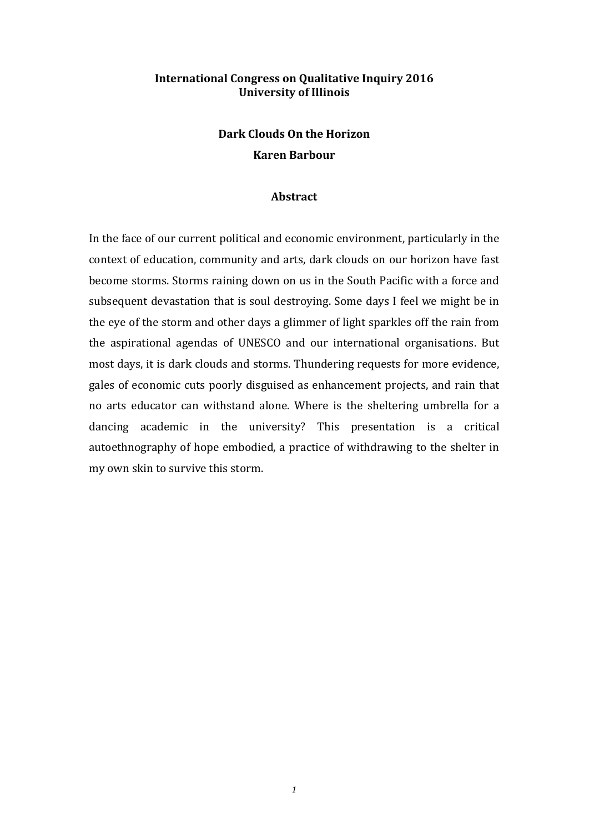## **International Congress on Qualitative Inquiry 2016 University of Illinois**

# **Dark Clouds On the Horizon Karen Barbour**

#### **Abstract**

In the face of our current political and economic environment, particularly in the context of education, community and arts, dark clouds on our horizon have fast become storms. Storms raining down on us in the South Pacific with a force and subsequent devastation that is soul destroying. Some days I feel we might be in the eye of the storm and other days a glimmer of light sparkles off the rain from the aspirational agendas of UNESCO and our international organisations. But most days, it is dark clouds and storms. Thundering requests for more evidence, gales of economic cuts poorly disguised as enhancement projects, and rain that no arts educator can withstand alone. Where is the sheltering umbrella for a dancing academic in the university? This presentation is a critical autoethnography of hope embodied, a practice of withdrawing to the shelter in my own skin to survive this storm.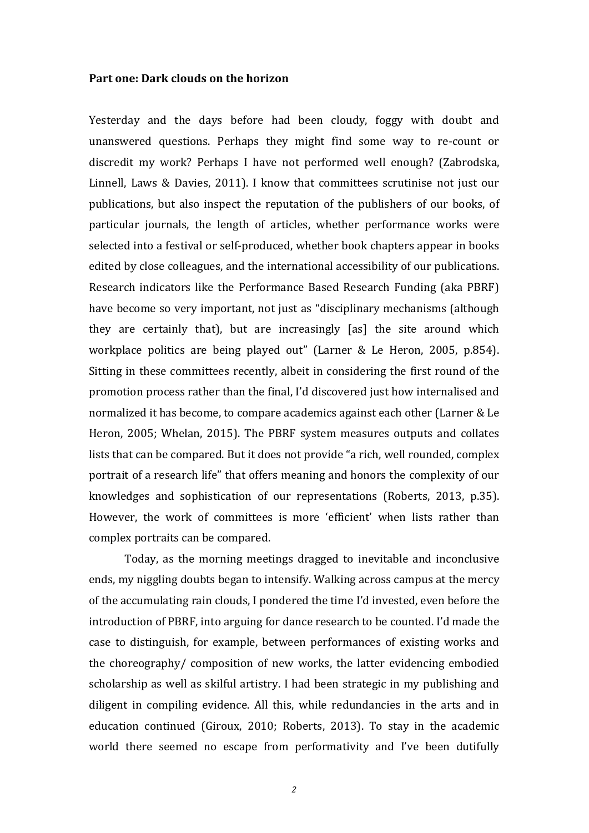#### **Part one: Dark clouds on the horizon**

Yesterday and the days before had been cloudy, foggy with doubt and unanswered questions. Perhaps they might find some way to re-count or discredit my work? Perhaps I have not performed well enough? (Zabrodska, Linnell, Laws & Davies, 2011). I know that committees scrutinise not just our publications, but also inspect the reputation of the publishers of our books, of particular journals, the length of articles, whether performance works were selected into a festival or self-produced, whether book chapters appear in books edited by close colleagues, and the international accessibility of our publications. Research indicators like the Performance Based Research Funding (aka PBRF) have become so very important, not just as "disciplinary mechanisms (although they are certainly that), but are increasingly [as] the site around which workplace politics are being played out" (Larner & Le Heron, 2005, p.854). Sitting in these committees recently, albeit in considering the first round of the promotion process rather than the final, I'd discovered just how internalised and normalized it has become, to compare academics against each other (Larner & Le Heron, 2005; Whelan, 2015). The PBRF system measures outputs and collates lists that can be compared. But it does not provide "a rich, well rounded, complex portrait of a research life" that offers meaning and honors the complexity of our knowledges and sophistication of our representations (Roberts, 2013, p.35). However, the work of committees is more 'efficient' when lists rather than complex portraits can be compared.

Today, as the morning meetings dragged to inevitable and inconclusive ends, my niggling doubts began to intensify. Walking across campus at the mercy of the accumulating rain clouds, I pondered the time I'd invested, even before the introduction of PBRF, into arguing for dance research to be counted. I'd made the case to distinguish, for example, between performances of existing works and the choreography/ composition of new works, the latter evidencing embodied scholarship as well as skilful artistry. I had been strategic in my publishing and diligent in compiling evidence. All this, while redundancies in the arts and in education continued (Giroux, 2010; Roberts, 2013). To stay in the academic world there seemed no escape from performativity and I've been dutifully

*2*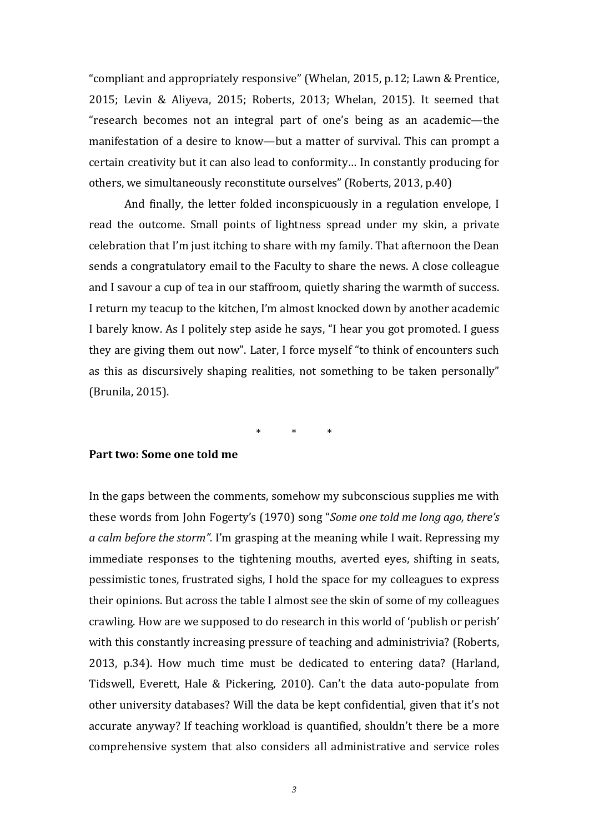"compliant and appropriately responsive" (Whelan, 2015, p.12; Lawn & Prentice, 2015; Levin & Aliyeva, 2015; Roberts, 2013; Whelan, 2015). It seemed that "research becomes not an integral part of one's being as an academic—the manifestation of a desire to know—but a matter of survival. This can prompt a certain creativity but it can also lead to conformity… In constantly producing for others, we simultaneously reconstitute ourselves" (Roberts, 2013, p.40)

And finally, the letter folded inconspicuously in a regulation envelope, I read the outcome. Small points of lightness spread under my skin, a private celebration that I'm just itching to share with my family. That afternoon the Dean sends a congratulatory email to the Faculty to share the news. A close colleague and I savour a cup of tea in our staffroom, quietly sharing the warmth of success. I return my teacup to the kitchen, I'm almost knocked down by another academic I barely know. As I politely step aside he says, "I hear you got promoted. I guess they are giving them out now". Later, I force myself "to think of encounters such as this as discursively shaping realities, not something to be taken personally" (Brunila, 2015).

\* \* \*

## **Part two: Some one told me**

In the gaps between the comments, somehow my subconscious supplies me with these words from John Fogerty's (1970) song "*Some one told me long ago, there's a calm before the storm"*. I'm grasping at the meaning while I wait. Repressing my immediate responses to the tightening mouths, averted eyes, shifting in seats, pessimistic tones, frustrated sighs, I hold the space for my colleagues to express their opinions. But across the table I almost see the skin of some of my colleagues crawling. How are we supposed to do research in this world of 'publish or perish' with this constantly increasing pressure of teaching and administrivia? (Roberts, 2013, p.34). How much time must be dedicated to entering data? (Harland, Tidswell, Everett, Hale & Pickering, 2010). Can't the data auto-populate from other university databases? Will the data be kept confidential, given that it's not accurate anyway? If teaching workload is quantified, shouldn't there be a more comprehensive system that also considers all administrative and service roles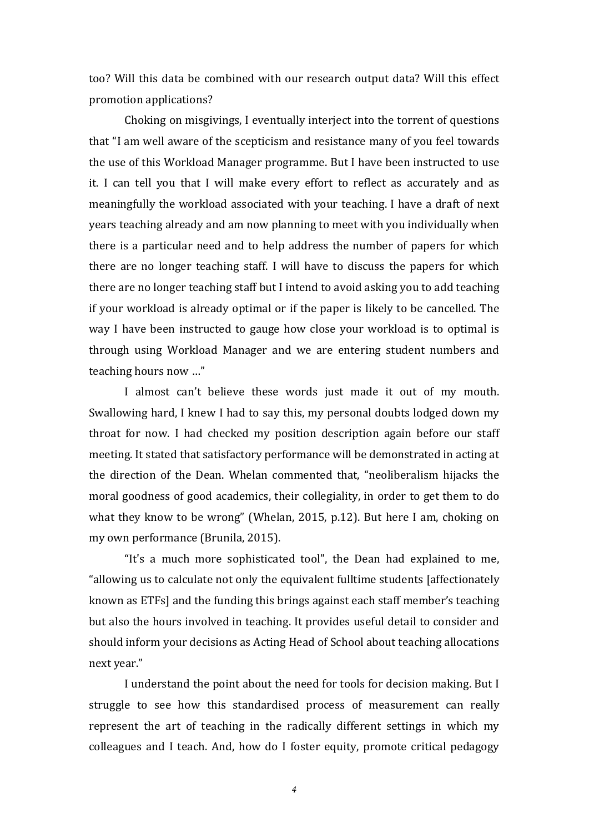too? Will this data be combined with our research output data? Will this effect promotion applications?

Choking on misgivings, I eventually interject into the torrent of questions that "I am well aware of the scepticism and resistance many of you feel towards the use of this Workload Manager programme. But I have been instructed to use it. I can tell you that I will make every effort to reflect as accurately and as meaningfully the workload associated with your teaching. I have a draft of next years teaching already and am now planning to meet with you individually when there is a particular need and to help address the number of papers for which there are no longer teaching staff. I will have to discuss the papers for which there are no longer teaching staff but I intend to avoid asking you to add teaching if your workload is already optimal or if the paper is likely to be cancelled. The way I have been instructed to gauge how close your workload is to optimal is through using Workload Manager and we are entering student numbers and teaching hours now …"

I almost can't believe these words just made it out of my mouth. Swallowing hard, I knew I had to say this, my personal doubts lodged down my throat for now. I had checked my position description again before our staff meeting. It stated that satisfactory performance will be demonstrated in acting at the direction of the Dean. Whelan commented that, "neoliberalism hijacks the moral goodness of good academics, their collegiality, in order to get them to do what they know to be wrong" (Whelan, 2015, p.12). But here I am, choking on my own performance (Brunila, 2015).

"It's a much more sophisticated tool", the Dean had explained to me, "allowing us to calculate not only the equivalent fulltime students [affectionately known as ETFs] and the funding this brings against each staff member's teaching but also the hours involved in teaching. It provides useful detail to consider and should inform your decisions as Acting Head of School about teaching allocations next year."

I understand the point about the need for tools for decision making. But I struggle to see how this standardised process of measurement can really represent the art of teaching in the radically different settings in which my colleagues and I teach. And, how do I foster equity, promote critical pedagogy

*4*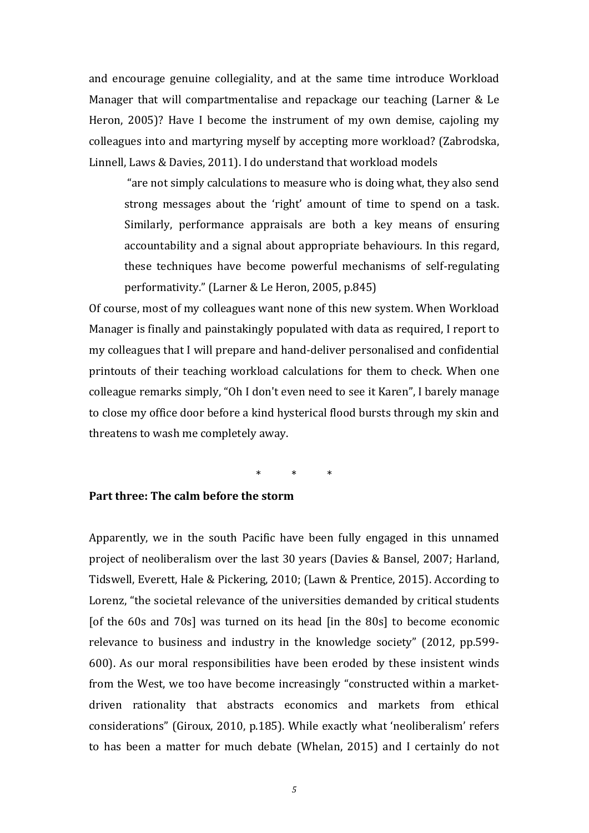and encourage genuine collegiality, and at the same time introduce Workload Manager that will compartmentalise and repackage our teaching (Larner & Le Heron, 2005)? Have I become the instrument of my own demise, cajoling my colleagues into and martyring myself by accepting more workload? (Zabrodska, Linnell, Laws & Davies, 2011). I do understand that workload models

"are not simply calculations to measure who is doing what, they also send strong messages about the 'right' amount of time to spend on a task. Similarly, performance appraisals are both a key means of ensuring accountability and a signal about appropriate behaviours. In this regard, these techniques have become powerful mechanisms of self-regulating performativity." (Larner & Le Heron, 2005, p.845)

Of course, most of my colleagues want none of this new system. When Workload Manager is finally and painstakingly populated with data as required, I report to my colleagues that I will prepare and hand-deliver personalised and confidential printouts of their teaching workload calculations for them to check. When one colleague remarks simply, "Oh I don't even need to see it Karen", I barely manage to close my office door before a kind hysterical flood bursts through my skin and threatens to wash me completely away.

\* \* \*

# **Part three: The calm before the storm**

Apparently, we in the south Pacific have been fully engaged in this unnamed project of neoliberalism over the last 30 years (Davies & Bansel, 2007; Harland, Tidswell, Everett, Hale & Pickering, 2010; (Lawn & Prentice, 2015). According to Lorenz, "the societal relevance of the universities demanded by critical students [of the 60s and 70s] was turned on its head [in the 80s] to become economic relevance to business and industry in the knowledge society" (2012, pp.599- 600). As our moral responsibilities have been eroded by these insistent winds from the West, we too have become increasingly "constructed within a marketdriven rationality that abstracts economics and markets from ethical considerations" (Giroux, 2010, p.185). While exactly what 'neoliberalism' refers to has been a matter for much debate (Whelan, 2015) and I certainly do not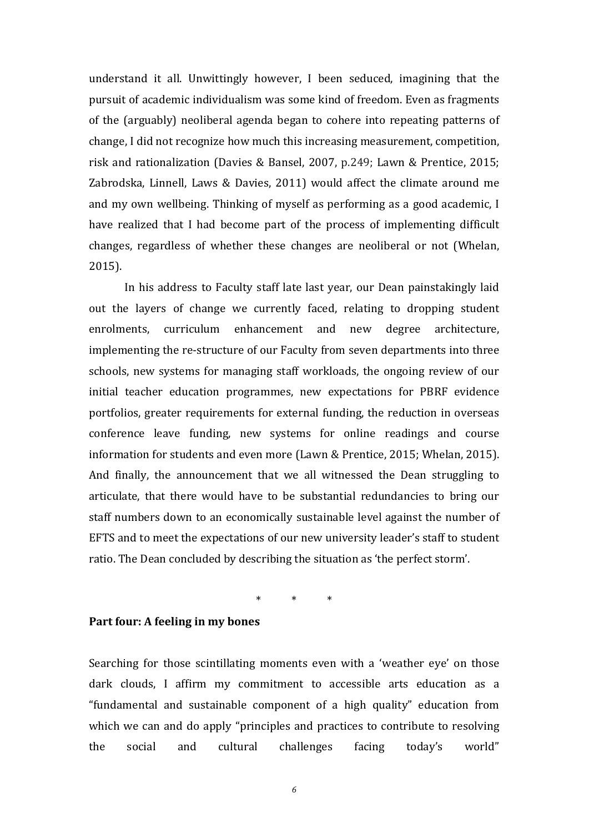understand it all. Unwittingly however, I been seduced, imagining that the pursuit of academic individualism was some kind of freedom. Even as fragments of the (arguably) neoliberal agenda began to cohere into repeating patterns of change, I did not recognize how much this increasing measurement, competition, risk and rationalization (Davies & Bansel, 2007, p.249; Lawn & Prentice, 2015; Zabrodska, Linnell, Laws & Davies, 2011) would affect the climate around me and my own wellbeing. Thinking of myself as performing as a good academic, I have realized that I had become part of the process of implementing difficult changes, regardless of whether these changes are neoliberal or not (Whelan, 2015).

In his address to Faculty staff late last year, our Dean painstakingly laid out the layers of change we currently faced, relating to dropping student enrolments, curriculum enhancement and new degree architecture, implementing the re-structure of our Faculty from seven departments into three schools, new systems for managing staff workloads, the ongoing review of our initial teacher education programmes, new expectations for PBRF evidence portfolios, greater requirements for external funding, the reduction in overseas conference leave funding, new systems for online readings and course information for students and even more (Lawn & Prentice, 2015; Whelan, 2015). And finally, the announcement that we all witnessed the Dean struggling to articulate, that there would have to be substantial redundancies to bring our staff numbers down to an economically sustainable level against the number of EFTS and to meet the expectations of our new university leader's staff to student ratio. The Dean concluded by describing the situation as 'the perfect storm'.

\* \* \*

#### **Part four: A feeling in my bones**

Searching for those scintillating moments even with a 'weather eye' on those dark clouds, I affirm my commitment to accessible arts education as a "fundamental and sustainable component of a high quality" education from which we can and do apply "principles and practices to contribute to resolving the social and cultural challenges facing today's world"

*6*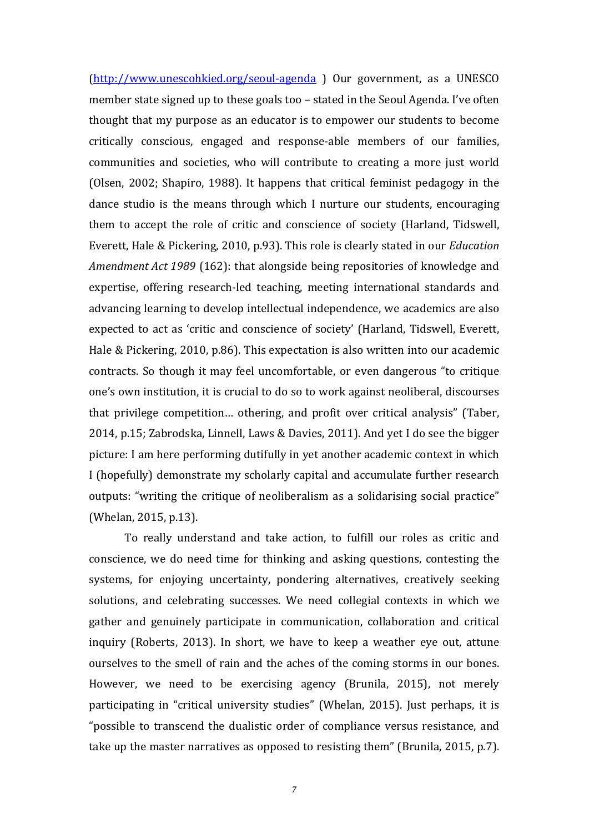[\(http://www.unescohkied.org/seoul-agenda](http://www.unescohkied.org/seoul-agenda) ) Our government, as a UNESCO member state signed up to these goals too – stated in the Seoul Agenda. I've often thought that my purpose as an educator is to empower our students to become critically conscious, engaged and response-able members of our families, communities and societies, who will contribute to creating a more just world (Olsen, 2002; Shapiro, 1988). It happens that critical feminist pedagogy in the dance studio is the means through which I nurture our students, encouraging them to accept the role of critic and conscience of society (Harland, Tidswell, Everett, Hale & Pickering, 2010, p.93). This role is clearly stated in our *Education Amendment Act 1989* (162): that alongside being repositories of knowledge and expertise, offering research-led teaching, meeting international standards and advancing learning to develop intellectual independence, we academics are also expected to act as 'critic and conscience of society' (Harland, Tidswell, Everett, Hale & Pickering, 2010, p.86). This expectation is also written into our academic contracts. So though it may feel uncomfortable, or even dangerous "to critique one's own institution, it is crucial to do so to work against neoliberal, discourses that privilege competition… othering, and profit over critical analysis" (Taber, 2014, p.15; Zabrodska, Linnell, Laws & Davies, 2011). And yet I do see the bigger picture: I am here performing dutifully in yet another academic context in which I (hopefully) demonstrate my scholarly capital and accumulate further research outputs: "writing the critique of neoliberalism as a solidarising social practice" (Whelan, 2015, p.13).

To really understand and take action, to fulfill our roles as critic and conscience, we do need time for thinking and asking questions, contesting the systems, for enjoying uncertainty, pondering alternatives, creatively seeking solutions, and celebrating successes. We need collegial contexts in which we gather and genuinely participate in communication, collaboration and critical inquiry (Roberts, 2013). In short, we have to keep a weather eye out, attune ourselves to the smell of rain and the aches of the coming storms in our bones. However, we need to be exercising agency (Brunila, 2015), not merely participating in "critical university studies" (Whelan, 2015). Just perhaps, it is "possible to transcend the dualistic order of compliance versus resistance, and take up the master narratives as opposed to resisting them" (Brunila, 2015, p.7).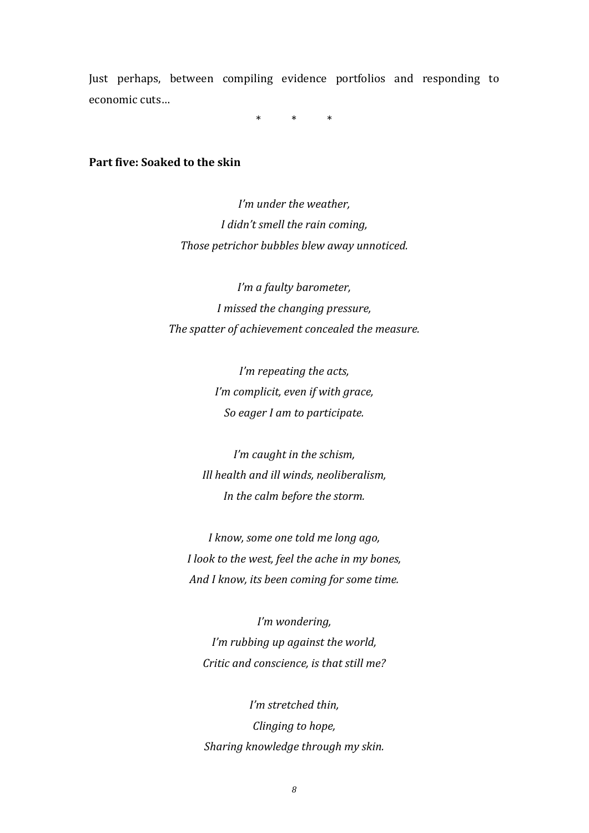Just perhaps, between compiling evidence portfolios and responding to economic cuts…

\* \* \*

#### **Part five: Soaked to the skin**

*I'm under the weather, I didn't smell the rain coming, Those petrichor bubbles blew away unnoticed.*

*I'm a faulty barometer, I missed the changing pressure, The spatter of achievement concealed the measure.*

> *I'm repeating the acts, I'm complicit, even if with grace, So eager I am to participate.*

*I'm caught in the schism, Ill health and ill winds, neoliberalism, In the calm before the storm.*

*I know, some one told me long ago, I look to the west, feel the ache in my bones, And I know, its been coming for some time.*

*I'm wondering, I'm rubbing up against the world, Critic and conscience, is that still me?*

*I'm stretched thin, Clinging to hope, Sharing knowledge through my skin.*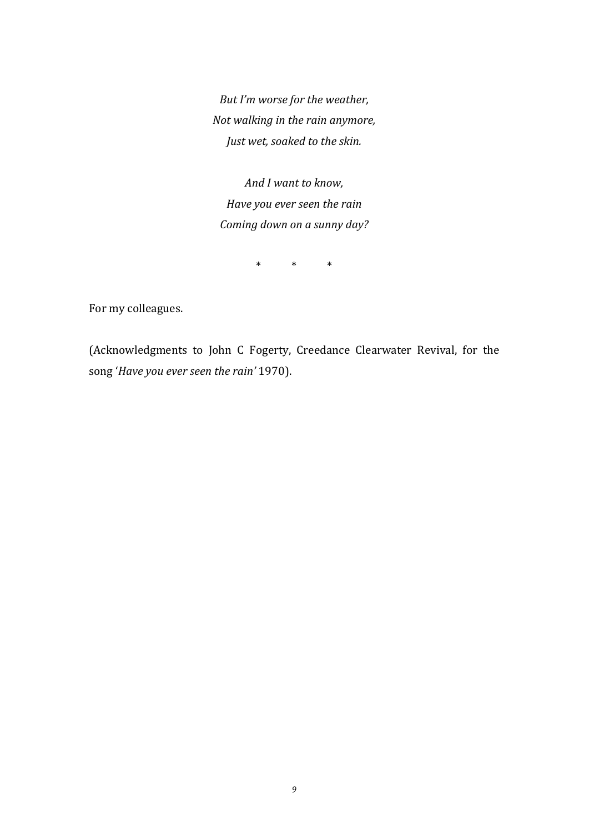*But I'm worse for the weather, Not walking in the rain anymore, Just wet, soaked to the skin.*

*And I want to know, Have you ever seen the rain Coming down on a sunny day?*

\* \* \*

For my colleagues.

(Acknowledgments to John C Fogerty, Creedance Clearwater Revival, for the song '*Have you ever seen the rain'* 1970).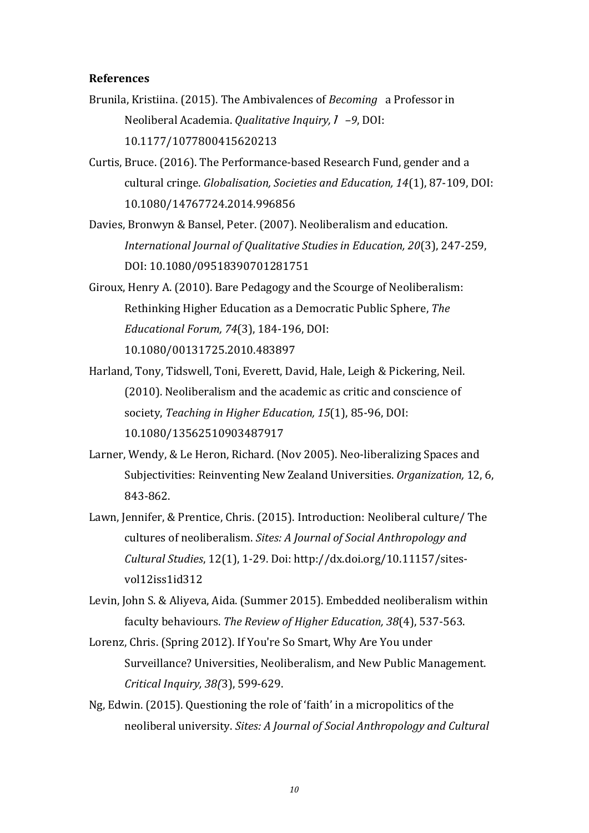#### **References**

- Brunila, Kristiina. (2015). The Ambivalences of *Becoming* a Professor in Neoliberal Academia. *Qualitative Inquiry,*<sup>1</sup> *–9*, DOI: 10.1177/1077800415620213
- Curtis, Bruce. (2016). The Performance-based Research Fund, gender and a cultural cringe. *Globalisation, Societies and Education, 14*(1), 87-109, DOI: 10.1080/14767724.2014.996856
- Davies, Bronwyn & Bansel, Peter. (2007). Neoliberalism and education. *International Journal of Qualitative Studies in Education, 20*(3), 247-259, DOI: 10.1080/09518390701281751
- Giroux, Henry A. (2010). Bare Pedagogy and the Scourge of Neoliberalism: Rethinking Higher Education as a Democratic Public Sphere, *The Educational Forum, 74*(3), 184-196, DOI: 10.1080/00131725.2010.483897
- Harland, Tony, Tidswell, Toni, Everett, David, Hale, Leigh & Pickering, Neil. (2010). Neoliberalism and the academic as critic and conscience of society, *Teaching in Higher Education, 15*(1), 85-96, DOI: 10.1080/13562510903487917
- Larner, Wendy, & Le Heron, Richard. (Nov 2005). Neo-liberalizing Spaces and Subjectivities: Reinventing New Zealand Universities. *Organization,* 12, 6, 843-862.
- Lawn, Jennifer, & Prentice, Chris. (2015). Introduction: Neoliberal culture/ The cultures of neoliberalism. *Sites: A Journal of Social Anthropology and Cultural Studies*, 12(1), 1-29. Doi: http://dx.doi.org/10.11157/sitesvol12iss1id312

Levin, John S. & Aliyeva, Aida. (Summer 2015). Embedded neoliberalism within faculty behaviours. *The Review of Higher Education, 38*(4), 537-563.

- Lorenz, Chris. (Spring 2012). If You're So Smart, Why Are You under Surveillance? Universities, Neoliberalism, and New Public Management. *Critical Inquiry, 38(*3), 599-629.
- Ng, Edwin. (2015). Questioning the role of 'faith' in a micropolitics of the neoliberal university. *Sites: A Journal of Social Anthropology and Cultural*